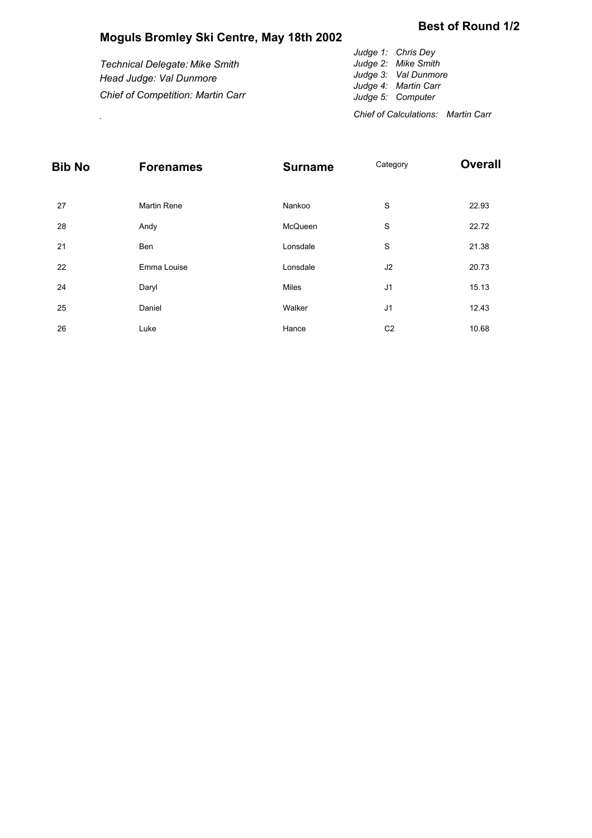## **Moguls Bromley Ski Centre, May 18th 2002**

## **Best of Round 1/2**

| <b>Technical Delegate: Mike Smith</b><br>Head Judge: Val Dunmore | Judge 1: Chris Dey<br>Judge 2: Mike Smith<br>Judge 3: Val Dunmore<br>Judge 4: Martin Carr |
|------------------------------------------------------------------|-------------------------------------------------------------------------------------------|
| <b>Chief of Competition: Martin Carr</b>                         | Judge 5: Computer                                                                         |

**Chief of Calculations: Martin Carr** .

| <b>Bib No</b> | <b>Forenames</b>   | <b>Surname</b> | Category       | <b>Overall</b> |  |  |
|---------------|--------------------|----------------|----------------|----------------|--|--|
|               |                    |                |                |                |  |  |
| 27            | <b>Martin Rene</b> | Nankoo         | S              | 22.93          |  |  |
| 28            | Andy               | McQueen        | S              | 22.72          |  |  |
| 21            | Ben                | Lonsdale       | S              | 21.38          |  |  |
| 22            | Emma Louise        | Lonsdale       | J2             | 20.73          |  |  |
| 24            | Daryl              | Miles          | J <sub>1</sub> | 15.13          |  |  |
| 25            | Daniel             | Walker         | J <sub>1</sub> | 12.43          |  |  |
| 26            | Luke               | Hance          | C <sub>2</sub> | 10.68          |  |  |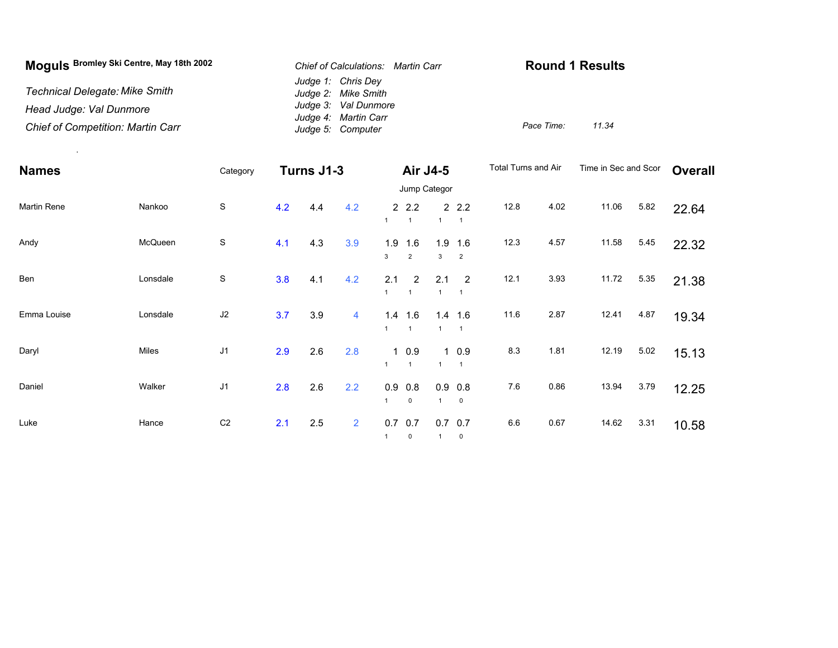| Moquis Bromley Ski Centre, May 18th 2002 | Chief of Calculations: Martin Carr        | <b>Round 1 Results</b> |       |  |  |
|------------------------------------------|-------------------------------------------|------------------------|-------|--|--|
| Technical Delegate: Mike Smith           | Judge 1: Chris Dey<br>Judge 2: Mike Smith |                        |       |  |  |
| Head Judge: Val Dunmore                  | Judge 3: Val Dunmore                      |                        |       |  |  |
| <b>Chief of Competition: Martin Carr</b> | Judge 4: Martin Carr<br>Judge 5: Computer | Pace Time:             | 11.34 |  |  |

.

| <b>Names</b>       |          | Category       | Turns J1-3 |     |                | <b>Air J4-5</b> |                         |                       | <b>Total Turns and Air</b>  |      | Time in Sec and Scor |       | <b>Overall</b> |       |
|--------------------|----------|----------------|------------|-----|----------------|-----------------|-------------------------|-----------------------|-----------------------------|------|----------------------|-------|----------------|-------|
|                    |          |                |            |     |                |                 | Jump Categor            |                       |                             |      |                      |       |                |       |
| <b>Martin Rene</b> | Nankoo   | $\mathbb S$    | 4.2        | 4.4 | 4.2            |                 | 2.2<br>$\overline{1}$   |                       | 2.2<br>$\overline{1}$       | 12.8 | 4.02                 | 11.06 | 5.82           | 22.64 |
| Andy               | McQueen  | $\mathbb S$    | 4.1        | 4.3 | 3.9            | 1.9<br>3        | 1.6<br>$\overline{2}$   | 1.9<br>3              | 1.6<br>$\overline{2}$       | 12.3 | 4.57                 | 11.58 | 5.45           | 22.32 |
| Ben                | Lonsdale | $\mathbb S$    | 3.8        | 4.1 | 4.2            | 2.1             | 2                       | 2.1                   | $\overline{2}$              | 12.1 | 3.93                 | 11.72 | 5.35           | 21.38 |
| Emma Louise        | Lonsdale | J2             | 3.7        | 3.9 | 4              |                 | 1.4 1.6<br>$\mathbf{1}$ |                       | $1.4$ 1.6<br>$\overline{1}$ | 11.6 | 2.87                 | 12.41 | 4.87           | 19.34 |
| Daryl              | Miles    | J <sub>1</sub> | 2.9        | 2.6 | 2.8            |                 | 10.9<br>$\mathbf{1}$    |                       | 10.9<br>$\overline{1}$      | 8.3  | 1.81                 | 12.19 | 5.02           | 15.13 |
| Daniel             | Walker   | J <sub>1</sub> | 2.8        | 2.6 | 2.2            | 0.9             | 0.8<br>$\mathbf 0$      | 0.9<br>$\overline{1}$ | 0.8<br>$\mathbf 0$          | 7.6  | 0.86                 | 13.94 | 3.79           | 12.25 |
| Luke               | Hance    | C <sub>2</sub> | 2.1        | 2.5 | $\overline{2}$ | 0.7             | 0.7<br>$\mathbf 0$      | 0.7                   | 0.7<br>$\mathbf 0$          | 6.6  | 0.67                 | 14.62 | 3.31           | 10.58 |